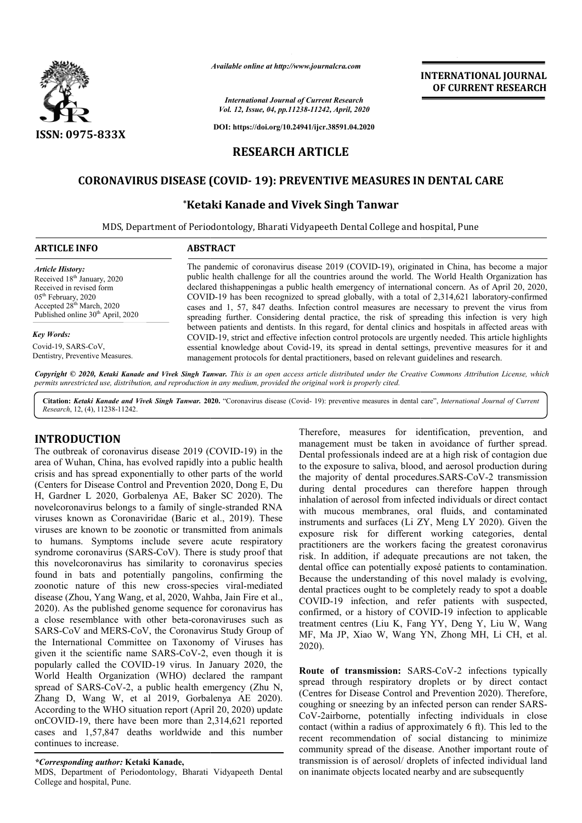

*Available online at http://www.journalcra.com*

*International Journal of Current Research Vol. 12, Issue, 04, pp.11238-11242, April, 2020*

**DOI: https://doi.org/10.24941/ijcr.38591.04.2020**

# **RESEARCH ARTICLE**

# **CORONAVIRUS DISEASE (COVI (COVID- 19): PREVENTIVE MEASURES IN IN DENTAL CARE**

## **\*Ketaki Ketaki Kanade and Vivek Singh Tanwar**

MDS, Department of Periodontology, Bharati Vidyapeeth Dental College and hospital, Pune

#### **ARTICLE INFO ABSTRACT**

*Article History:* Received 18<sup>th</sup> January, 2020 Received in revised form 05th February, 2020 Accepted 28<sup>th</sup> March, 2020 Published online 30<sup>th</sup> April, 2020

*Key Words:* Covid-19, SARS-CoV, Dentistry, Preventive Measures. The pandemic of coronavirus disease 2019 (COVID-19), originated in China, has become a major public health challenge for all the countries around the world. The World Health Organization has declared thishappeningas a public health emergency of international concern. As of April 20, 2020, COVID COVID-19 has been recognized to spread globally, with a total of 2,314,621 laboratory-confirmed cases and 1, 57, 847 deaths. Infection control measures are necessary to prevent the virus from spreading further. Considering dental practice, the risk of spreading this infection is very high between patients and dentists. In this regard, for dental clinics and hospitals in affected areas with COVID COVID-19, strict and effective infection control protocols are urgently needed. This article highlights essential knowledge about Covid-19, its spread in dental settings, preventive measures for it and management protocols for dental practitioners, based on relevant guidelines and research.

Copyright © 2020, Ketaki Kanade and Vivek Singh Tanwar. This is an open access article distributed under the Creative Commons Attribution License, which permits unrestricted use, distribution, and reproduction in any medium, provided the original work is properly cited.

Citation: Ketaki Kanade and Vivek Singh Tanwar. 2020. "Coronavirus disease (Covid-19): preventive measures in dental care", International Journal of Current *Research*, 12, (4), 11238-11242.

#### **INTRODUCTION**

The outbreak of coronavirus disease 2019 (COVID (COVID-19) in the area of Wuhan, China, has evolved rapidly into a public health crisis and has spread exponentially to other parts of the world (Centers for Disease Control and Prevention 2020, Dong E, Du H, Gardner L 2020, Gorbalenya AE, Baker SC 2020). The novelcoronavirus belongs to a family of single-stranded RNA viruses known as Coronaviridae (Baric et al., 2019). These viruses are known to be zoonotic or transmitted from animals to humans. Symptoms include severe acute respiratory syndrome coronavirus (SARS-CoV). There is study proof that this novelcoronavirus has similarity to coronavirus species found in bats and potentially pangolins, confirming the zoonotic nature of this new cross-species species viral-mediated disease (Zhou, Yang Wang, et al, 2020, Wahba, Jain Fire et al., 2020). As the published genome sequence for coronavirus has a close resemblance with other beta-coronaviruses such as SARS-CoV and MERS-CoV, the Coronavirus Study Group of the International Committee on Taxonomy of Viruses has given it the scientific name SARS-CoV-2, even though it is popularly called the COVID-19 virus. In January 2020, the World Health Organization (WHO) declared the rampant spread of SARS-CoV-2, a public health emergency (Zhu N, Zhang D, Wang W, et al 2019, Gorbalenya AE 2020). According to the WHO situation report (April 20, 2020) update onCOVID-19, there have been more than 2,314,621 reported cases and 1,57,847 deaths worldwide and this number continues to increase.

#### *\*Corresponding author:* **Ketaki Kanade,**

MDS, Department of Periodontology, Bharati Vidyapeeth Dental College and hospital, Pune.

Therefore, measures for identification, prevention, and management must be taken in avoidance of further spread. Dental professionals indeed are at a high risk of contagion due to the exposure to saliva, blood, and aerosol production during the majority of dental procedures.SARS-CoV-2 transmission during dental procedures can therefore happen through inhalation of aerosol from infected individuals or direct contact with mucous membranes, oral fluids, and contaminated instruments and surfaces (Li ZY, Meng LY 2020). Given the exposure risk for different working categories, dental practitioners are the workers facing the greatest coronavirus risk. In addition, if adequate precautions are not taken, the dental office can potentially exposé patients to contamination. Because the understanding of this novel malady is evolving, dental practices ought to be completely ready to spot a doable COVID-19 infection, and refer patients with suspected, confirmed, or a history of COVID-19 infection to applicable treatment centres (Liu K, Fang YY, Deng Y, Liu W, Wang MF, Ma JP, Xiao W, Wang YN, Zhong MH, Li CH, et al. 2020).

**INTERNATIONAL JOURNAL OF CURRENT RESEARCH**

Route of transmission: SARS-CoV-2 infections typically spread through respiratory droplets or by direct contact (Centres for Disease Control and Prevention 2020). Therefore, coughing or sneezing by an infected person can render SARS-CoV-2airborne, potentially infecting individuals in close contact (within a radius of approximately 6 ft). This led to the recent recommendation of social distancing to minimize community spread of the disease. Another important route of transmission is of aerosol/ droplets of infected individual land on inanimate objects located nearby and are subsequently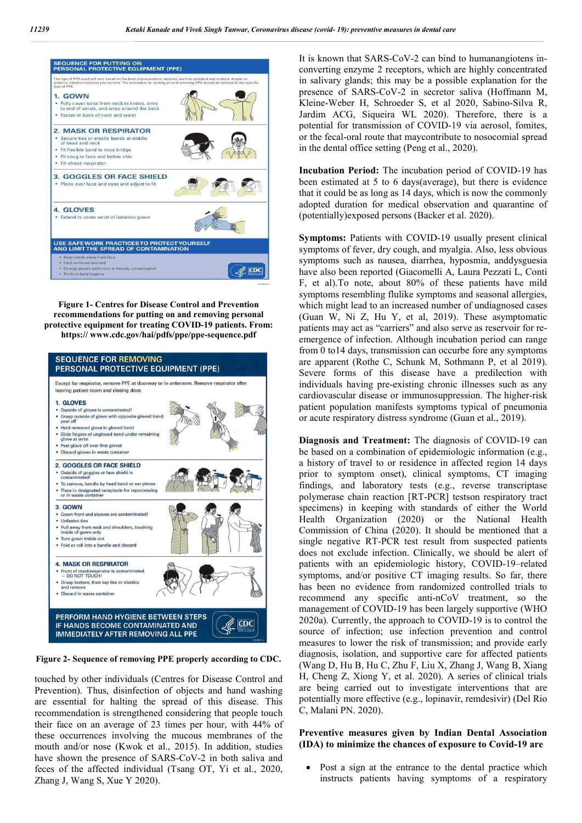

**Figure 1- Centres for Disease Control and Prevention recommendations for putting on and removing personal protective equipment for treating COVID-19 patients. From: https:// www.cdc.gov/hai/pdfs/ppe/ppe-sequence.pdf**



**Figure 2- Sequence of removing PPE properly according to CDC.**

touched by other individuals (Centres for Disease Control and Prevention). Thus, disinfection of objects and hand washing are essential for halting the spread of this disease. This recommendation is strengthened considering that people touch their face on an average of 23 times per hour, with 44% of these occurrences involving the mucous membranes of the mouth and/or nose (Kwok et al., 2015). In addition, studies have shown the presence of SARS-CoV-2 in both saliva and feces of the affected individual (Tsang OT, Yi et al., 2020, Zhang J, Wang S, Xue Y 2020).

It is known that SARS-CoV-2 can bind to humanangiotens inconverting enzyme 2 receptors, which are highly concentrated in salivary glands; this may be a possible explanation for the presence of SARS-CoV-2 in secretor saliva (Hoffmann M, Kleine-Weber H, Schroeder S, et al 2020, Sabino-Silva R, Jardim ACG, Siqueira WL 2020). Therefore, there is a potential for transmission of COVID-19 via aerosol, fomites, or the fecal-oral route that maycontribute to nosocomial spread in the dental office setting (Peng et al., 2020).

**Incubation Period:** The incubation period of COVID-19 has been estimated at 5 to 6 days(average), but there is evidence that it could be as long as 14 days, which is now the commonly adopted duration for medical observation and quarantine of (potentially)exposed persons (Backer et al. 2020).

**Symptoms:** Patients with COVID-19 usually present clinical symptoms of fever, dry cough, and myalgia. Also, less obvious symptoms such as nausea, diarrhea, hyposmia, anddysguesia have also been reported (Giacomelli A, Laura Pezzati L, Conti F, et al).To note, about 80% of these patients have mild symptoms resembling flulike symptoms and seasonal allergies, which might lead to an increased number of undiagnosed cases (Guan W, Ni Z, Hu Y, et al, 2019). These asymptomatic patients may act as "carriers" and also serve as reservoir for reemergence of infection. Although incubation period can range from 0 to14 days, transmission can occurbe fore any symptoms are apparent (Rothe C, Schunk M, Sothmann P, et al 2019). Severe forms of this disease have a predilection with individuals having pre-existing chronic illnesses such as any cardiovascular disease or immunosuppression. The higher-risk patient population manifests symptoms typical of pneumonia or acute respiratory distress syndrome (Guan et al., 2019).

**Diagnosis and Treatment:** The diagnosis of COVID-19 can be based on a combination of epidemiologic information (e.g., a history of travel to or residence in affected region 14 days prior to symptom onset), clinical symptoms, CT imaging findings, and laboratory tests (e.g., reverse transcriptase polymerase chain reaction [RT-PCR] testson respiratory tract specimens) in keeping with standards of either the World Health Organization (2020) or the National Health Commission of China (2020). It should be mentioned that a single negative RT-PCR test result from suspected patients does not exclude infection. Clinically, we should be alert of patients with an epidemiologic history, COVID-19–related symptoms, and/or positive CT imaging results. So far, there has been no evidence from randomized controlled trials to recommend any specific anti-nCoV treatment, so the management of COVID-19 has been largely supportive (WHO 2020a). Currently, the approach to COVID-19 is to control the source of infection; use infection prevention and control measures to lower the risk of transmission; and provide early diagnosis, isolation, and supportive care for affected patients (Wang D, Hu B, Hu C, Zhu F, Liu X, Zhang J, Wang B, Xiang H, Cheng Z, Xiong Y, et al. 2020). A series of clinical trials are being carried out to investigate interventions that are potentially more effective (e.g., lopinavir, remdesivir) (Del Rio C, Malani PN. 2020).

#### **Preventive measures given by Indian Dental Association (IDA) to minimize the chances of exposure to Covid-19 are**

 Post a sign at the entrance to the dental practice which instructs patients having symptoms of a respiratory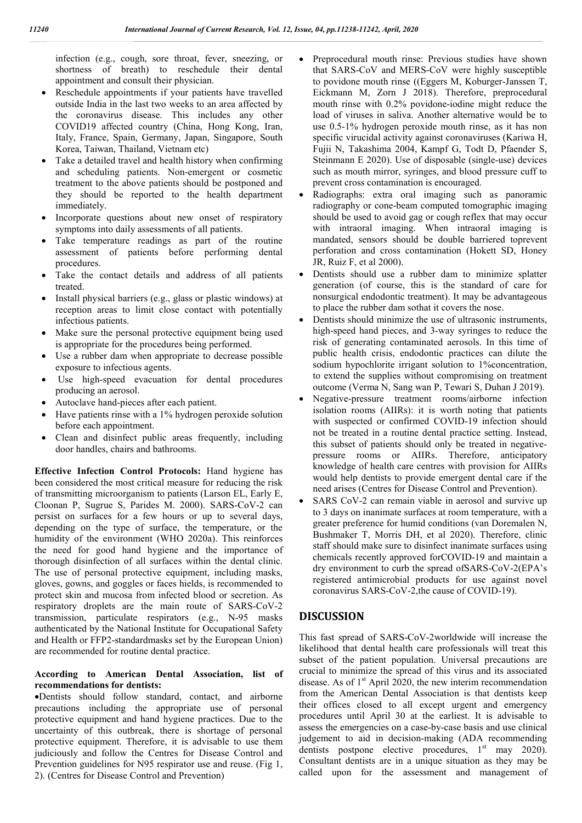infection (e.g., cough, sore throat, fever, sneezing, or shortness of breath) to reschedule their dental appointment and consult their physician.

- Reschedule appointments if your patients have travelled outside India in the last two weeks to an area affected by the coronavirus disease. This includes any other COVID19 affected country (China, Hong Kong, Iran, Italy, France, Spain, Germany, Japan, Singapore, South Korea, Taiwan, Thailand, Vietnam etc)
- Take a detailed travel and health history when confirming and scheduling patients. Non-emergent or cosmetic treatment to the above patients should be postponed and they should be reported to the health department immediately.
- Incorporate questions about new onset of respiratory symptoms into daily assessments of all patients.
- Take temperature readings as part of the routine assessment of patients before performing dental procedures.
- Take the contact details and address of all patients treated.
- Install physical barriers (e.g., glass or plastic windows) at reception areas to limit close contact with potentially infectious patients.
- Make sure the personal protective equipment being used is appropriate for the procedures being performed.
- Use a rubber dam when appropriate to decrease possible exposure to infectious agents.
- Use high-speed evacuation for dental procedures producing an aerosol.
- Autoclave hand-pieces after each patient.
- Have patients rinse with a 1% hydrogen peroxide solution before each appointment.
- Clean and disinfect public areas frequently, including door handles, chairs and bathrooms.

**Effective Infection Control Protocols:** Hand hygiene has been considered the most critical measure for reducing the risk of transmitting microorganism to patients (Larson EL, Early E, Cloonan P, Sugrue S, Parides M. 2000). SARS-CoV-2 can persist on surfaces for a few hours or up to several days, depending on the type of surface, the temperature, or the humidity of the environment (WHO 2020a). This reinforces the need for good hand hygiene and the importance of thorough disinfection of all surfaces within the dental clinic. The use of personal protective equipment, including masks, gloves, gowns, and goggles or faces hields, is recommended to protect skin and mucosa from infected blood or secretion. As respiratory droplets are the main route of SARS-CoV-2 transmission, particulate respirators (e.g., N-95 masks authenticated by the National Institute for Occupational Safety and Health or FFP2-standardmasks set by the European Union) are recommended for routine dental practice.

#### **According to American Dental Association, list of recommendations for dentists:**

Dentists should follow standard, contact, and airborne precautions including the appropriate use of personal protective equipment and hand hygiene practices. Due to the uncertainty of this outbreak, there is shortage of personal protective equipment. Therefore, it is advisable to use them judiciously and follow the Centres for Disease Control and Prevention guidelines for N95 respirator use and reuse. (Fig 1, 2). (Centres for Disease Control and Prevention)

- Preprocedural mouth rinse: Previous studies have shown that SARS-CoV and MERS-CoV were highly susceptible to povidone mouth rinse ((Eggers M, Koburger-Janssen T, Eickmann M, Zorn J 2018). Therefore, preprocedural mouth rinse with 0.2% povidone-iodine might reduce the load of viruses in saliva. Another alternative would be to use 0.5-1% hydrogen peroxide mouth rinse, as it has non specific virucidal activity against coronaviruses (Kariwa H, Fujii N, Takashima 2004, Kampf G, Todt D, Pfaender S, Steinmann E 2020). Use of disposable (single-use) devices such as mouth mirror, syringes, and blood pressure cuff to prevent cross contamination is encouraged.
- Radiographs: extra oral imaging such as panoramic radiography or cone-beam computed tomographic imaging should be used to avoid gag or cough reflex that may occur with intraoral imaging. When intraoral imaging is mandated, sensors should be double barriered toprevent perforation and cross contamination (Hokett SD, Honey JR, Ruiz F, et al 2000).
- Dentists should use a rubber dam to minimize splatter generation (of course, this is the standard of care for nonsurgical endodontic treatment). It may be advantageous to place the rubber dam sothat it covers the nose.
- Dentists should minimize the use of ultrasonic instruments, high-speed hand pieces, and 3-way syringes to reduce the risk of generating contaminated aerosols. In this time of public health crisis, endodontic practices can dilute the sodium hypochlorite irrigant solution to 1% concentration, to extend the supplies without compromising on treatment outcome (Verma N, Sang wan P, Tewari S, Duhan J 2019).
- Negative-pressure treatment rooms/airborne infection isolation rooms (AIIRs): it is worth noting that patients with suspected or confirmed COVID-19 infection should not be treated in a routine dental practice setting. Instead, this subset of patients should only be treated in negativepressure rooms or AIIRs. Therefore, anticipatory knowledge of health care centres with provision for AIIRs would help dentists to provide emergent dental care if the need arises (Centres for Disease Control and Prevention).
- SARS CoV-2 can remain viable in aerosol and survive up to 3 days on inanimate surfaces at room temperature, with a greater preference for humid conditions (van Doremalen N, Bushmaker T, Morris DH, et al 2020). Therefore, clinic staff should make sure to disinfect inanimate surfaces using chemicals recently approved forCOVID-19 and maintain a dry environment to curb the spread ofSARS-CoV-2(EPA's registered antimicrobial products for use against novel coronavirus SARS-CoV-2,the cause of COVID-19).

## **DISCUSSION**

This fast spread of SARS-CoV-2worldwide will increase the likelihood that dental health care professionals will treat this subset of the patient population. Universal precautions are crucial to minimize the spread of this virus and its associated disease. As of  $1<sup>st</sup>$  April 2020, the new interim recommendation from the American Dental Association is that dentists keep their offices closed to all except urgent and emergency procedures until April 30 at the earliest. It is advisable to assess the emergencies on a case-by-case basis and use clinical judgement to aid in decision-making (ADA recommending dentists postpone elective procedures,  $1<sup>st</sup>$  may 2020). Consultant dentists are in a unique situation as they may be called upon for the assessment and management of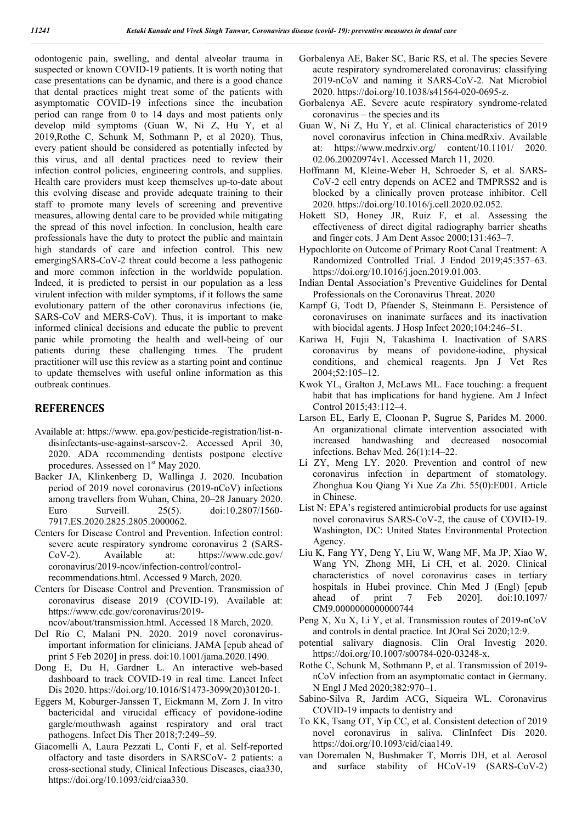odontogenic pain, swelling, and dental alveolar trauma in suspected or known COVID-19 patients. It is worth noting that case presentations can be dynamic, and there is a good chance that dental practices might treat some of the patients with asymptomatic COVID-19 infections since the incubation period can range from 0 to 14 days and most patients only develop mild symptoms (Guan W, Ni Z, Hu Y, et al 2019,Rothe C, Schunk M, Sothmann P, et al 2020). Thus, every patient should be considered as potentially infected by this virus, and all dental practices need to review their infection control policies, engineering controls, and supplies. Health care providers must keep themselves up-to-date about this evolving disease and provide adequate training to their staff to promote many levels of screening and preventive measures, allowing dental care to be provided while mitigating the spread of this novel infection. In conclusion, health care professionals have the duty to protect the public and maintain high standards of care and infection control. This new emergingSARS-CoV-2 threat could become a less pathogenic and more common infection in the worldwide population. Indeed, it is predicted to persist in our population as a less virulent infection with milder symptoms, if it follows the same evolutionary pattern of the other coronavirus infections (ie, SARS-CoV and MERS-CoV). Thus, it is important to make informed clinical decisions and educate the public to prevent panic while promoting the health and well-being of our patients during these challenging times. The prudent practitioner will use this review as a starting point and continue to update themselves with useful online information as this outbreak continues.

### **REFERENCES**

- Available at: https://www. epa.gov/pesticide-registration/list-ndisinfectants-use-against-sarscov-2. Accessed April 30, 2020. ADA recommending dentists postpone elective procedures. Assessed on 1<sup>st</sup> May 2020.
- Backer JA, Klinkenberg D, Wallinga J. 2020. Incubation period of 2019 novel coronavirus (2019-nCoV) infections among travellers from Wuhan, China, 20–28 January 2020. Euro Surveill. 25(5). doi:10.2807/1560- 7917.ES.2020.2825.2805.2000062.
- Centers for Disease Control and Prevention. Infection control: severe acute respiratory syndrome coronavirus 2 (SARS-CoV-2). Available at: https://www.cdc.gov/ coronavirus/2019-ncov/infection-control/controlrecommendations.html. Accessed 9 March, 2020.
- Centers for Disease Control and Prevention. Transmission of coronavirus disease 2019 (COVID-19). Available at: https://www.cdc.gov/coronavirus/2019-
- ncov/about/transmission.html. Accessed 18 March, 2020.
- Del Rio C, Malani PN. 2020. 2019 novel coronavirusimportant information for clinicians. JAMA [epub ahead of print 5 Feb 2020] in press. doi:10.1001/jama.2020.1490.
- Dong E, Du H, Gardner L. An interactive web-based dashboard to track COVID-19 in real time. Lancet Infect Dis 2020. https://doi.org/10.1016/S1473-3099(20)30120-1.
- Eggers M, Koburger-Janssen T, Eickmann M, Zorn J. In vitro bactericidal and virucidal efficacy of povidone-iodine gargle/mouthwash against respiratory and oral tract pathogens. Infect Dis Ther 2018;7:249–59.
- Giacomelli A, Laura Pezzati L, Conti F, et al. Self-reported olfactory and taste disorders in SARSCoV- 2 patients: a cross-sectional study, Clinical Infectious Diseases, ciaa330, https://doi.org/10.1093/cid/ciaa330.
- Gorbalenya AE, Baker SC, Baric RS, et al. The species Severe acute respiratory syndromerelated coronavirus: classifying 2019-nCoV and naming it SARS-CoV-2. Nat Microbiol 2020. https://doi.org/10.1038/s41564-020-0695-z.
- Gorbalenya AE. Severe acute respiratory syndrome-related coronavirus – the species and its
- Guan W, Ni Z, Hu Y, et al. Clinical characteristics of 2019 novel coronavirus infection in China.medRxiv. Available at: https://www.medrxiv.org/ content/10.1101/ 2020. 02.06.20020974v1. Accessed March 11, 2020.
- Hoffmann M, Kleine-Weber H, Schroeder S, et al. SARS-CoV-2 cell entry depends on ACE2 and TMPRSS2 and is blocked by a clinically proven protease inhibitor. Cell 2020. https://doi.org/10.1016/j.cell.2020.02.052.
- Hokett SD, Honey JR, Ruiz F, et al. Assessing the effectiveness of direct digital radiography barrier sheaths and finger cots. J Am Dent Assoc 2000;131:463–7.
- Hypochlorite on Outcome of Primary Root Canal Treatment: A Randomized Controlled Trial. J Endod 2019;45:357–63. https://doi.org/10.1016/j.joen.2019.01.003.
- Indian Dental Association's Preventive Guidelines for Dental Professionals on the Coronavirus Threat. 2020
- Kampf G, Todt D, Pfaender S, Steinmann E. Persistence of coronaviruses on inanimate surfaces and its inactivation with biocidal agents. J Hosp Infect 2020;104:246–51.
- Kariwa H, Fujii N, Takashima I. Inactivation of SARS coronavirus by means of povidone-iodine, physical conditions, and chemical reagents. Jpn J Vet Res 2004;52:105–12.
- Kwok YL, Gralton J, McLaws ML. Face touching: a frequent habit that has implications for hand hygiene. Am J Infect Control 2015;43:112–4.
- Larson EL, Early E, Cloonan P, Sugrue S, Parides M. 2000. An organizational climate intervention associated with increased handwashing and decreased nosocomial infections. Behav Med. 26(1):14–22.
- Li ZY, Meng LY. 2020. Prevention and control of new coronavirus infection in department of stomatology. Zhonghua Kou Qiang Yi Xue Za Zhi. 55(0):E001. Article in Chinese.
- List N: EPA's registered antimicrobial products for use against novel coronavirus SARS-CoV-2, the cause of COVID-19. Washington, DC: United States Environmental Protection Agency.
- Liu K, Fang YY, Deng Y, Liu W, Wang MF, Ma JP, Xiao W, Wang YN, Zhong MH, Li CH, et al. 2020. Clinical characteristics of novel coronavirus cases in tertiary hospitals in Hubei province. Chin Med J (Engl) [epub ahead of print 7 Feb 2020]. doi:10.1097/ CM9.0000000000000744
- Peng X, Xu X, Li Y, et al. Transmission routes of 2019-nCoV and controls in dental practice. Int JOral Sci 2020;12:9.
- potential salivary diagnosis. Clin Oral Investig 2020. https://doi.org/10.1007/s00784-020-03248-x.
- Rothe C, Schunk M, Sothmann P, et al. Transmission of 2019 nCoV infection from an asymptomatic contact in Germany. N Engl J Med 2020;382:970–1.
- Sabino-Silva R, Jardim ACG, Siqueira WL. Coronavirus COVID-19 impacts to dentistry and
- To KK, Tsang OT, Yip CC, et al. Consistent detection of 2019 novel coronavirus in saliva. ClinInfect Dis 2020. https://doi.org/10.1093/cid/ciaa149.
- van Doremalen N, Bushmaker T, Morris DH, et al. Aerosol and surface stability of HCoV-19 (SARS-CoV-2)